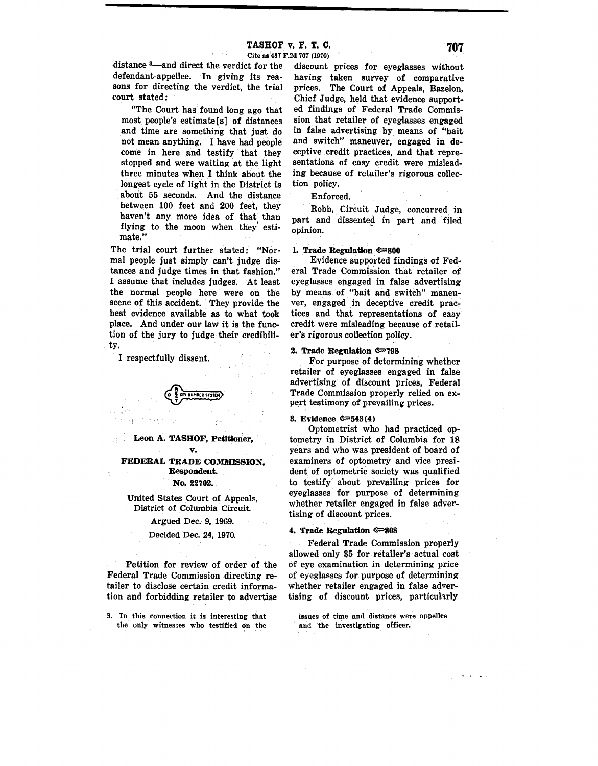$\overline{\phantom{a}}$  , and  $\overline{\phantom{a}}$  , and  $\overline{\phantom{a}}$  , and  $\overline{\phantom{a}}$  , and  $\overline{\phantom{a}}$  , and  $\overline{\phantom{a}}$  , and  $\overline{\phantom{a}}$  , and  $\overline{\phantom{a}}$  , and  $\overline{\phantom{a}}$  , and  $\overline{\phantom{a}}$  , and  $\overline{\phantom{a}}$  , and  $\overline{\phantom{a}}$  , and  $\overline{\$ 

Cite as 437 F.2d 707 (1970) distance <sup>3</sup>—and direct the verdict for the defendant-appellee. In giving its rea-

court stated: "The Court has found long ago that most people's estimate[s] of distances and time are something that just do not mean anything. I have had people come in here and testify that they stopped and were waiting at the light three minutes when I think about the longest cycle of light in the District is about 55 seconds. And the distance between 100 feet and 200 feet, they haven't any more idea of that than flying to the moon when they' estimate."

sons for directing the verdict, the trial

The trial court further stated: "Normal people just simply can't judge distances and judge times in that fashion." I assume that includes judges. At least the normal people here were on the scene of this accident. They provide the best evidence available as to what took place. And under our law it is the function of the jury to judge their credibility.

I respectfully dissent.

**EXERCISER STE I** T **KEY NUMBER SYSTEM** 

**Leon A. TASHOF, Petitioner, v.,** 

**FEDERAL TRADE COMMISSION, Respondent.** 

No. 22702.

United States Court of Appeals, District of Columbia Circuit.

Argued Dec.- 9, 1969.

# Decided Dec. 24, 1970.

Petition for review of order of the Federal Trade Commission directing retailer to disclose certain credit information and forbidding retailer to advertise

3. In this connection it is interesting that issues of time and distance were appellee the only witnesses who testified on the and the investigating officer. the only witnesses who testified on the

discount prices for eyeglasses without having taken survey of comparative prices. The Court of Appeals, Bazelon, Chief Judge, held that evidence supported findings of Federal Trade Commission that retailer of eyeglasses engaged in false advertising by means of "bait and switch" maneuver, engaged in deceptive credit practices, and that representations of easy credit were misleading because of retailer's rigorous collection policy.

Enforced.

Robb, Circuit Judge, concurred in part and dissented in part and filed opinion.

#### **1. Trade Regulation**  $\approx 800$

Evidence supported findings of Federal Trade Commission that retailer of eyeglasses engaged in false advertising by means of "bait and switch" maneuver, engaged in deceptive credit practices and that representations of easy credit were misleading because of retailer's rigorous collection policy.

# **2, Trade Regulation ~798**

For purpose of determining whether retailer of eyeglasses engaged in false advertising of discount prices, Federal Trade Commission properly relied on expert testimony of prevailing prices.

#### **3. Evidence ~543(4)**

Optometrist who had practiced optometry in District of Columbia for 18 years and who was president of board of examiners of optometry and vice president of optometric society was qualified to testify about prevailing prices for eyeglasses for purpose of determining whether retailer engaged in false advertising of discount prices.

# **4. Trade Regulation ~808**

Federal Trade Commission properly allowed only \$5 for retailer's actual cost of eye examination in determining price of eyeglasses for purpose of determining whether retailer engaged in false advertising of discount prices, particularly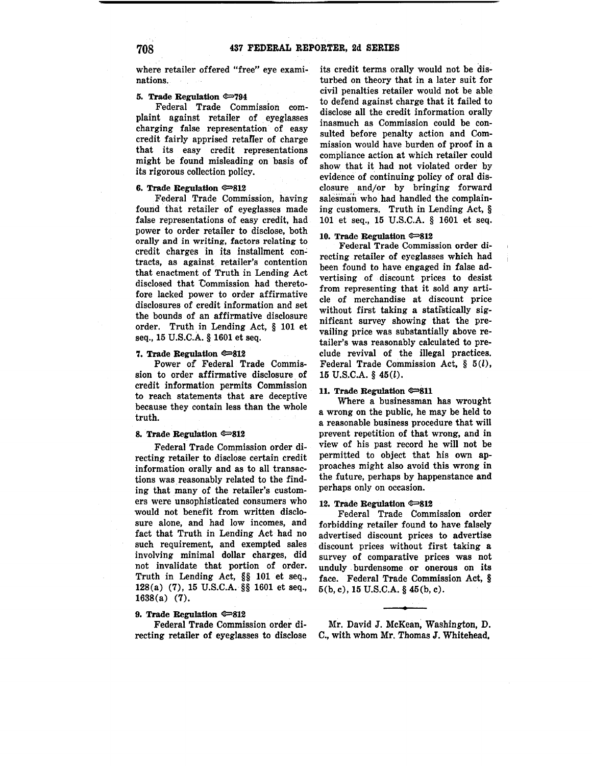where retailer offered "free" eye examinations.

#### **5. Trade Regulation**  $\infty$ **794**

Federal Trade Commission complaint against retailer of eyeglasses charging false representation of easy credit fairly apprised retafier of charge that its easy credit representations might be found misleading on basis of its rigorous collection policy.

# **6. Trade Regulation e=>812**

Federal Trade Commission, having found that retailer of eyeglasses made false representations of easy credit, had power to order retailer to disclose, both orally and in writing, factors relating to credit charges in its installment contracts, as against retailer's contention that enactment of Truth in Lending Act disclosed that Commission had theretofore lacked power to order affirmative disclosures of credit information and set the bounds of an affirmative disclosure order. Truth in Lending Act, § 101 et seq., 15 U.S.C.A. § 1601 et seq.

#### **7. Trade Regulation e=s12**

Power of Federal Trade Commission to order affirmative disclosure of credit information permits Commission to reach statements that are deceptive because they contain less than the whole truth.

#### **8. Trade Regulation e=s12**

Federal Trade Commission order directing retailer to disclose certain credit information orally and as to all transactions was. reasonably related to the finding that many of the retailer's customers were unsophisticated consumers who would not benefit from written disclosure alone, and had low incomes, and fact that Truth in Lending Act had no such requirement, and exempted sales involving minimal dollar charges, did not invalidate that portion of order. Truth in Lending Act, §§ 101 et seq., 128(a) (7), 15 U.S.C.A. §§ 1601 et seq., 1638(a) (7).

# **9. Trade Regulation e=>812**

Federal Trade Commission order directing retailer of eyeglasses to disclose

its credit terms orally would not be disturbed on theory that in a later suit for civil penalties retailer would not be able to defend against charge that it failed to disclose all the credit information orally inasmuch as Commission could be consulted before penalty action and Commission would have burden of proof in a compliance action at which retailer could show that it had not violated order by evidence of continuing policy of oral disclosure and/or by bringing forward salesman who had handled the complaining customers. Truth in Lending Act, § 101 et seq., 15 U.S.C.A. § 1601 et seq.

#### 10. Trade Regulation  $\infty$ 812

Federal Trade Commission order directing retailer of eyeglasses which had been found to have engaged in false advertising of discount prices to desist from representing that it sold any article of merchandise at discount price without first taking a statistically significant survey showing that the prevailing price was substantially above retailer's was reasonably calculated to preclude revival of the illegal practices. Federal Trade Commission Act,  $\S$  5(*l*), 15 U.S.C.A. § 45(l).

#### 11. Trade Regulation  $\infty$ 811

Where a businessman has wrought a wrong on the public, he may be held to a reasonable business procedure that will prevent repetition of that wrong, and in view of his past record he will not be permitted to object that his own approaches might also avoid this wrong in the future, perhaps by happenstance and perhaps only on occasion.

## 12. Trade Regulation  $\infty$ 812

Federal Trade Commission order forbidding retailer found to have falsely advertised discount prices to advertise discount prices without first taking a survey of comparative prices was not unduly burdensome or onerous on its face. Federal Trade Commission Act, § 5(b, c), 15 U.S.C.A. § 45(b, c).

Mr. David J. McKean; Washington, D. C., with whom Mr. Thomas J. Whitehead,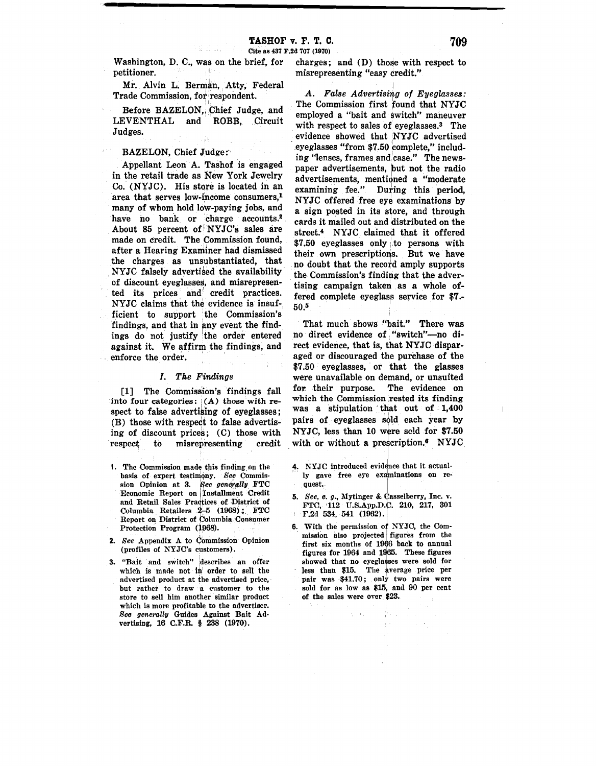-1--■---------------

Washington, D. C., was on the brief, for petitioner. . O

Mr. Alvin L. Berman, Atty, Federal Trade Commission, fot respondent.

Before BAZELON, Chief Judge, and LEVENTHAL and ROBB, Circuit Judges.

BAZELON, Chief Judge:

Appellant Leon A. Tashof is engaged in the retail trade as New York Jewelry Co. (NYJC). His store is located in an area that serves low-income consumers,1 many of whom hold low-paying jobs, and have no bank or charge accounts.<sup>2</sup> About 85 percent of NYJC's sales are made on credit. The Commission found, after a Hearing Examiner had dismissed the charges as unsubstantiated, that NYJC falsely advertised the availability of discount eyeglasses, and misrepresented its prices and credit practices. NYJC claims that the evidence is insufficient to support the Commission's findings, and that in any event the findings do not justify the order entered against it. We affirm the findings, and enforce the order.

## *I. The Findings*

[1] The Commission's findings fall into four categories:  $(A)$  those with respect to false advertising of eyeglasses; (B) those with respect to false advertising of discount prices; (C) those with respect to misrepresenting credit

- 1. The Commission made this finding on the basis of expert testimony. See Commission Opinion at 3. 1 *ee generally* FTC Economic Report on Installment Credit and Retail Sales Practices of District of Columbia Retailers  $2-5$  (1968) . FTC Report on District of Columbia, Consumer Protection Program (1968).
- **2.** *See* Appendix A to Commission Opinion (profiles of NYJC's customers).
- 3. "Bait and switch" describes an offer which is made not in order to sell the advertised product at the advertised price, but rather to draw a customer to the store to sell him another similar product which is more profitable to the advertiser. *See generally* Guides Against Bait Ad· vertising, 16 C.F.R. § 238 (1970).

charges; and  $(D)$  those with respect to misrepresenting "easy credit."

I *A. False Advertising of Eyeglasses:*  The Commission first found that NYJC employed a "bait and switch" maneuver with respect to sales of eyeglasses. $3$  The evidence showed that NYJC advertised .eyeglasses "from \$7.50 complete," including "lenses, frames and case." The newspaper advertisements, but not the radio advertisements, mentioned a "moderate examining fee." During this period. NYJC offered free eye examinations by a sign posted in its store, and through cards it mailed out and distributed on the street.4 NYJC claimed that it offered \$7.50 eyeglasses only to persons with their own prescriptions. But we have no doubt that the record amply supports the Commission's finding that the advertising campaign taken as a whole offered complete eyeglass service for \$7.-  $50.5$ 

That much shows "bait." There was no direct evidence of "switch"-no direct evidence, that is, that NYJC disparaged or discouraged the purchase of the \$7.50 eyeglasses, or that the glasses were unavailable on demand, or unsuited for. their purpose. The evidence on which the Commission rested its finding was a stipulation that out of  $1,400$ pairs of eyeglasses sold each year by NYJC, less than 10 were sold for \$7.50 with or without a prescription. $\epsilon$  NYJC

- 4. NYJC introduced evidence that it actually gave free eye examinations on request.
- **5.** *See, e. g., Mytinger & Casselberry, Inc. v.* FTC, 112 U.S.App.D.C. 210, 217, 301 , F.2d 534, 541 (1962).
- 6. With the permission of NYJC, the Com-. mission also projected figures from the first six months of 1966 back to annual figures for 1964 and 1965. These figures showed that no eyeglasses were sold for less than \$15. The average price per pair was •\$41.70; only two pairs were sold for as low as \$15, and 90 per cent of the sales were over \$23.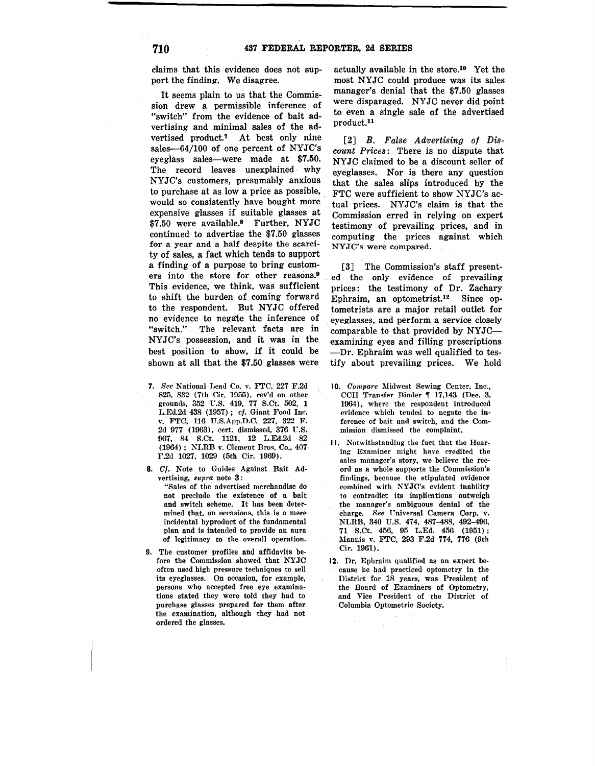claims that this evidence does not support the finding. We disagree.

It seems plain to us that the Commission drew a permissible inference of "switch" from the evidence of bait advertising and minimal sales of the advertised product.7 At best only nine sales-64/100 of one percent of NYJC's eyeglass sales—were made at \$7.50. The record leaves unexplained why NYJC's customers, presumably anxious to purchase at as low a price as possible, . would so consistently have bought more expensive glasses if suitable glasses at \$7.50 were available.8 Further, NYJC continued to advertise the \$7.50 glasses for a year and a half despite the scarcity of sales, a fact which tends to support a finding of a purpose to bring customers into the store for other reasons.<sup>9</sup> This evidence, we think, was sufficient to shift the burden of coming forward to the respondent. But NYJC offered no evidence to negate the inference of "switch." The relevant facts are in NYJC's possession, and it was in the best position to show, if it could be shown at all that the \$7.50 glasses were

- **7.** *See* National Lead Co. v. FTC, 227 F.2d 825, 832 (7th Cir. 1955), rev'd on other grounds, 352 U.S. 419, 77 S.Ct. 502, 1 L.Ed.2d 438 (1957); cf. Giant Food Inc. v. FTC, 116 U.S.App.D.C. 227, 322 F. 2d 977 (1963), cert. dismissed, 376 U.S. 967, 84 S.Ct. 1121, 12 L.Ed.2d 82 (1964) ; NLRB v. Clement Bros. Co., 407 F.2d 1027, 1029 (5th Cir. 1969).
- **8.** Cf. Note to Guides Against Bait Advertising, *supra* note 3:

"Sales of the advertised merchandise do not preclude the existence of a bait and switch scheme. It has been determined that, on occasions, this is a mere incidental byproduct of the fundamental plan and is intended to provide an aura of legitimacy to the overall operation.

**9.** The customer profiles and affidavits before the Commission showed that NYJC often used high pressure techniques to sell its eyeglasses. On occasion, for example, persons who accepted free eye examinations stated they were told they had to purchase glasses prepared for them after the examination, although they had not ordered the glasses.

actually available in the [store.10](https://store.10) Yet the most NYJC could produce was its sales manager's denial that the \$7.50 glasses were disparaged. NYJC never did point to even a single sale of the advertised [product.](https://product.11)<sup>11</sup>

[2] *B. False Advertising of Discount Prices:* There is no dispute that NYJC claimed to be a discount seller of eyeglasses. Nor is there any question that the sales slips introduced by the FTC were sufficient to show NYJC's actual prices. NYJC's claim is that the Commission erred in relying on expert testimony of prevailing prices, and in computing the prices against which NYJC's were compared.

[3] The Commission's staff presented the only evidence of prevailing prices: the testimony of Dr. Zachary . Ephraim, an [optometrist.12](https://optometrist.12) Since optometrists are a major retail outlet for . eyeglasses, and perform a service closely comparable to that provided by NYJCexamining eyes and filling prescriptions ---Dr. Ephraim was well qualified to testify about prevailing prices. We hold

- 10. *Compare* Midwest Sewing Center, Inc., CCH Transfer Binder  $\parallel$  17,143 (Dec. 3, 1964), where the respondent introduced evidence ·which tended to negate the inference of bait and switch, and the Commission dismissed the complaint.
- **11.** Notwithstanding the fact that the Hearing Examiner might. have credited the sales manager's story, we believe the record as a whole supports the Commission's findings, because the stipulated evidence combined with NYJC's evident inability to contradict its implications outweigh the manager's ambiguous denial of the charge. See Universal Camera Corp. v. NLRB, 340 U.S. 474, 487-488, 492-496, 71 S.Ct. 456, 95 L.Ed. 456 (1951) ; l\Iannis v. FTC, 293 F.2d 774, 776 (9th Cir. 1961).
- **12.** Dr. Ephraim qualified as an expert because he had practiced optometry in the District for 18 years, was President of the Board of Examiners of Optometry, and Vice President of the District of Columbia Optometric Society.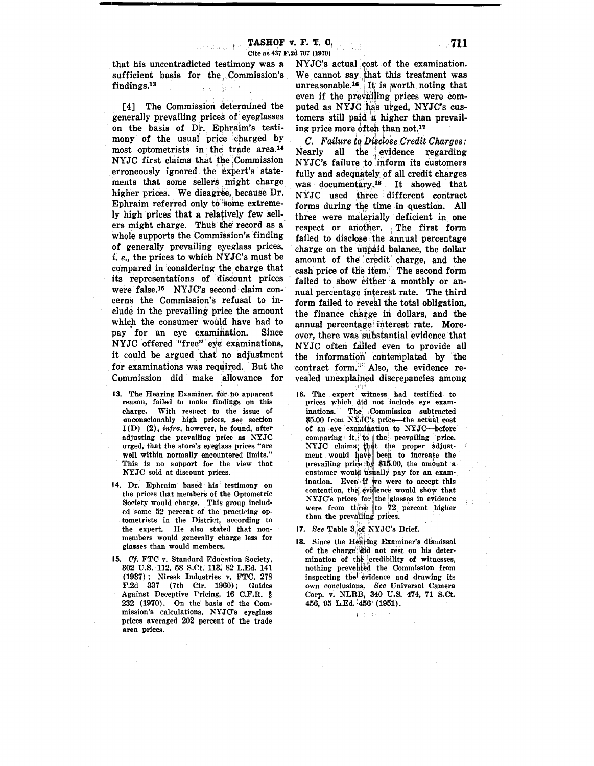-----------------------------------------

that his unccntradicted testimony was a sufficient basis for the, Commission's  $\textbf{findings.}$ <sup>13</sup>

[4] The Commission determined the generally prevailing prices of• eyeglasses on the basis of Dr. Ephraim's testimony of the usual price charged by most optometrists in the trade area.<sup>14</sup> NYJC first claims that the :Commission erroneously ignored the expert's statements that some sellers might charge higher prices. We disagree, because Dr. Ephraim referred only to some extremely high prices that a relatively few sellers might charge. Thus the record as a whole supports the Commission's finding of generally prevailing eyeglass prices, *i.e.,* the prices to which NYJC's must be compared in considering the charge that its representations of discount prices were [false.15](https://false.15) NYJC's second claim concerns the Commission's refusal to include in the prevailing price the amount which the consumer would have had to pay for an eye examination. Since NYJC offered "free" eye examinations, it could be argued that no adjustment for examinations was required. But the Commission did make allowance for

- **13.** The Hearing Examiner, for no apparent reason, failed to make findings on this charge. With respect to the issue of unconscionably high prices, see section  $I(D)$  (2), infra, however, he found, after adjusting the prevailing price as NYJC urged, that the store's eyeglass prices "are well within normally encountered limits." This is no support for the view that NYJC sold at discount prices.
- 14. Dr. Ephraim based his testimony on the prices that members of the Optometric Society would charge. This group included some 52 percent of the practicing optometrists in the District, according to the expert. He also stated that nonmembers would generally charge less for glasses than would members.
- **15.** Cf. FTC v, Standard Education Society, 302 U.S. 112, 58 S.Ct. 113, 82 L.Ed. 141 (1937) ; Niresk Industries v. FTC, 278 F.2d 337 (7th Cir. 1960); Guides Against Deceptive Pricing, 16 C.F.R. § 232 (1970). On the basis of the Commission's calculations, NYJC's eyeglass prices averaged 202 percent of the trade area prices.

NYJC's actual cost of the examination. We cannot say that this treatment was unreasonable.<sup>16</sup>. It is worth noting that even if the prevailing prices were computed as NYJC has urged, NYJC's customers still paid a higher than prevailing price more 6ften than not.<sup>17</sup>

*C. Failure to Disclose Credit Charges:* Nearly all the evidence regarding NYJC's failure to inform its customers fully and adequately of all credit charges was documentary. $18$  It showed that NYJC used three different contract forms during the time in question. **All**  three were materially deficient in one respect or another. The first form failed to disclose the annual percentage charge on the unpaid balance, the dollar amount of the credit charge, and the cash price of the item. The second form failed to show either a monthly or annual percentage interest rate. The third form failed to reveal the total obligation, the finance charge in dollars, and the annual percentage interest rate. Moreover, there was substantial evidence that NYJC often failed even to provide all the information contemplated by the contract form.<sup>31</sup> Also, the evidence revealed unexplained discrepancies among

- 16. The expert witness had testified to prices which did not include eye exam-<br>inations. The Commission subtracted The Commission subtracted  $$5.00$  from NYJC's price—the actual cost of an eye examination to NYJC-before comparing it to the prevailing price.  $XYZC$  claims that the proper adjustment would have been to increase the prevailing price by \$15.00, the amount a customer would usually pay for an examination. Even if we were to accept this contention, the evidence would show that NYJC's prices for the glasses in evidence were from three to  $72$  percent higher than the prevailing prices.
- 17. See Table 3.of NYJC's Brief.
- 18. Since the Hearing Examiner's dismissal of the charge did not rest on his determination of the credibility of witnesses. nothing prevented the Commission from inspecting the evidence and drawing its own conclusions. *See* Universal Camera Corp. v. NLRB, 340 U.S. 474, 71 S.Ct. 456, 95 L.Ed. 1456' (1951).

car en avec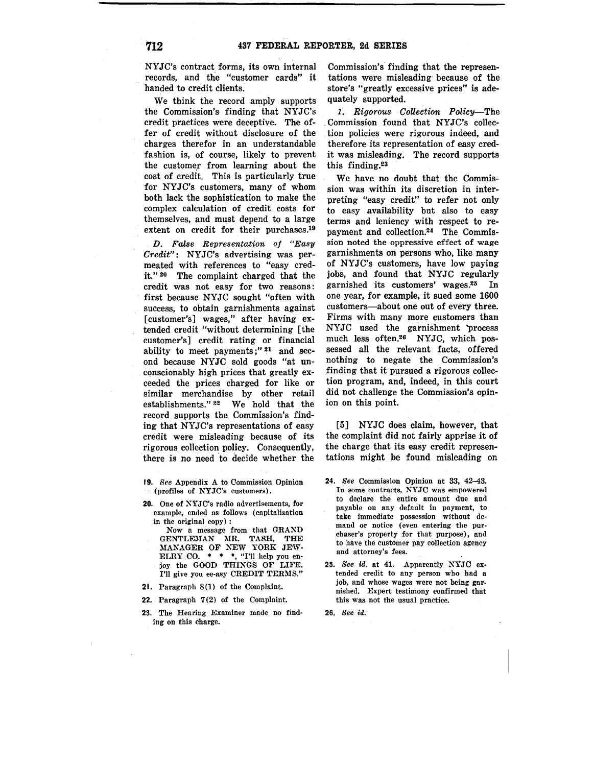NYJC's contract forms, its own internal records, and the "customer cards" it handed to credit clients.

We think the record amply supports the Commission's finding that NYJC's credit practices were deceptive. The offer of credit without disclosure of the charges therefor in an understandable fashion is, of course, likely to prevent the customer from learning about the cost of credit. This is particularly true for NYJC's customers, many of whom both lack the sophistication to make the complex calculation of credit costs for themselves, and must depend to a large extent on credit for their [purchases.19](https://purchases.19)

*D. False Representation of "Easy Credit":* NYJC's. advertising was permeated with references to "easy credit." 20 The complaint charged that the credit was not easy for two reasons: first because NYJC sought "often with success, to obtain garnishments against [customer's] wages," after having extended credit "without determining [the customer's] credit rating or financial ability to meet payments;" $21$  and second because NYJC sold goods "at unconscionably high prices that greatly exceeded the prices charged for like or similar merchandise by other retail establishments." 22 We hold that the record supports the Commission's finding that NYJC's representations of easy credit were misleading because of its rigorous collection policy. Consequently, there is no need 'to decide whether the

- **19.** *See* Appendix A to Commission Opinion (profiles of NYJC's customers).
- **20.** One of NYJC's radio advertisements, for example, ended as follows ( capitalization in the original copy) :

Now a message from that GRAND GENTLEMAN MR. TASH, THE MANAGER OF NEW YORK JEW-<br>ELRY CO. \* \* \*, "I'll help you enjoy the GOOD THINGS OF LIFE. I'll give you ee-asy CREDIT TERMS."

- **21.** Paragraph 8(1) of the Complaint.
- **22.** Paragraph **7** (2) of the Complaint.
- 23. The Hearing Examiner made no finding on this charge.

Commission's finding that the representations were misleading because of the store's "greatly excessive prices" is adequately supported.

*1. Rigorous Collection Policy-The*  . Commission found that NYJC's collection policies were rigorous indeed, and therefore its representation of easy credit was misleading. The record supports this [finding.](https://finding.23)<sup>23</sup>

We have no doubt that the Commission was within its discretion in interpreting "easy credit" to refer not only to easy availability but also to easy terms and leniency with respect to repayment and [collection.24](https://collection.24) The Commission noted the oppressive effect of wage garnishments on persons who, like many of NYJC's customers, have low paying jobs, and found that NYJC regularly garnished its customers' wages. $25$  In one year, for example, it sued some 1600 customers-about one out of every three. Firms with many more customers than NYJC used the garnishment 'process much less [often.26](https://often.26) NYJC, which possessed all the relevant facts, offered nothing to negate the Commission's finding that it pursued a rigorous collection program, and, indeed, in this court did not challenge the Commission's opinion on this point.

[5] NYJC does claim, however, that the complaint did not fairly apprise it of the charge that its easy credit representations might be found misleading on

- **24.** *See* Commission Opinion at 33, 42-43. In some contracts, NYJC was empowered to declare the entire amount due and payable on any default in payment, to take immediate possession without demand or notice (even entering the purchaser's property for that purpose), and to have the customer pay collection agency and attorney's fees.
- **25.** *See* id. at 41. Apparently NYJC extended credit to any person who had a job, and whose wages were not being garnished. Expert testimony confirmed that this was not the usual practice.

**26.** *See id.*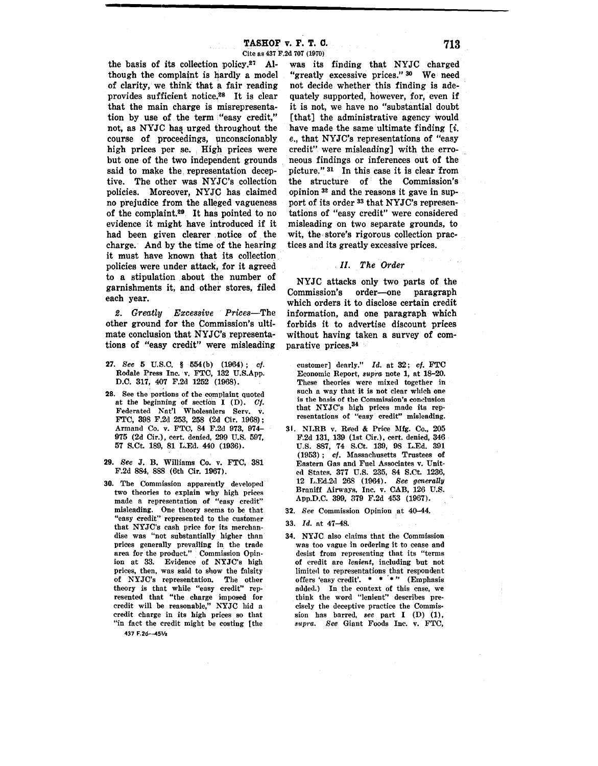--------------------------------

the basis of its collection [policy.27](https://policy.27) Although the complaint is hardly a model of clarity, we think that a fair reading provides sufficient notice,<sup>28</sup> It is clear that the main charge is misrepresentation by use of the term "easy credit," not, as NYJC has urged throughout the course of proceedings, unconscionably high prices per se. High prices were but one of the two independent grounds said to make the. representation deceptive. The other was NYJC's collection policies. Moreover, NYJC has claimed no prejudice from the alleged vagueness of the [complaint.29](https://complaint.29) . It has pointed to no evidence it might have introduced if it had been given clearer notice of the charge. And by the time of the hearing it must have known that its collection policies were under attack, for it agreed to a stipulation about the number of garnishments it, and other stores, filed each year.

*2. Greatly Excessive Prices-The*  other ground for the Commission's ultimate conclusion that NYJC's representations of "easy credit" were misleading

- **27.** *See* 5 U.S.C. § 554(b) (1964) ; cf. Rodale Press Inc. v. FTC, 182 U.S.App. D.C. 317, 407 F.2d 1252 (1968).
- **28.** See the portions of the complaint quoted at the beginning of section I (D). Of. Federated Nat'l Wholesalers Serv. v. FTC, 398 F.2d 253, 258 (2d Cir. 1968); Armand Co. v. FTC, 84 F.2d 973, 974- 975 (2d Cir.), cert. denied, 299 U.S. 597, 57 S.Ct. 189, 81 L.Ed. 440 (1936).
- **29.** *See* J. B. Williams Co. v. FTC, 381 F.2d 884, 888 (6th Cir. 1967).
- **30.** The Commission apparently developed· two theories to explain why high prices made a representation **of** "easy credit" misleading. One theory seems to be that "easy credit" represented to the customer that NYJC's cash price for its merchandise was "not substantially higher than prices generally prevailing in the trade area for the product." Commission Opinion at 33. Evidence of NYJC's high prices, then, was said to show the falsity of NYJC's representation. The other theory is that while "easy credit" represented that "the charge imposed for credit will be reasonable," NYJC hid a credit charge in its high prices so that "in fact the credit might be costing [the

was its finding that NYJC charged "greatly excessive prices." 30 We need not decide whether this finding is adequately supported, however, for, even if it is not, we have no "substantial doubt [that] the administrative agency would have made the same ultimate finding  $[i]$ . *e.,* that NYJC's representations of "easy credit" were misleading] with the erroneous findings or inferences out of the picture." 31 In this case it is clear from the structure of the Commission's opinion 32 and the reasons it gave in support of its order 33 that NYJC's representations of "easy credit" were considered misleading on two separate grounds, to wit, the store's rigorous collection practices and its greatly excessive prices.

# . *II. The Order*

NYJC attacks only two parts of the Commission's order-one paragraph which orders it to disclose certain credit information, and one paragraph which forbids it to advertise discount prices without having taken a survey of comparative [prices.34](https://prices.34) 

- customer] dearly." *Id.* at 32; cf. FTC Economic Report, *supra* note 1, at 18-20. These theories were mixed together in such a way that it is not clear which one is the basis of the Commission's condusion that NYJC's high prices made its representations of "easy credit" misleading.
- 31. NLRB v. Reed & Price Mfg. Co., 205 F.2d 131, 139 (1st Cir.), cert. denied, 346 U.S. 887, 74 S.Ct. 139, 98 L.Ed. 391 (1953) ; cf. Massachusetts Trustees of Eastern Gas and Fuel Associates v. United States. 377 U.S. 235, 84 S.Ct. 1236, 12 L.Ed.2d 268 (1964). *See generally*  Braniff Airways, Inc. v. CAB, 126 U.S. App.D.C. 399, 379 F.2d 453 (1967).

**32.** *See* Commission Opinion at 4o-44.

**33.** *Id.* at 47-48.

**34. NYJC** also claims that the Commission was too vague in ordering it to cease and desist from representing that its "terms of credit are *lenient,* including but not limited to representations that respondent offers 'easy credit'.  $* * * "$  (Emphasis added.) In the context of this case, we think the word "lenient" describes precisely the deceptive practice the Commission has barred, *see* part I (D) (1), *supra. See* Giant Foods Inc. v. FTC,

437 F.2d--45½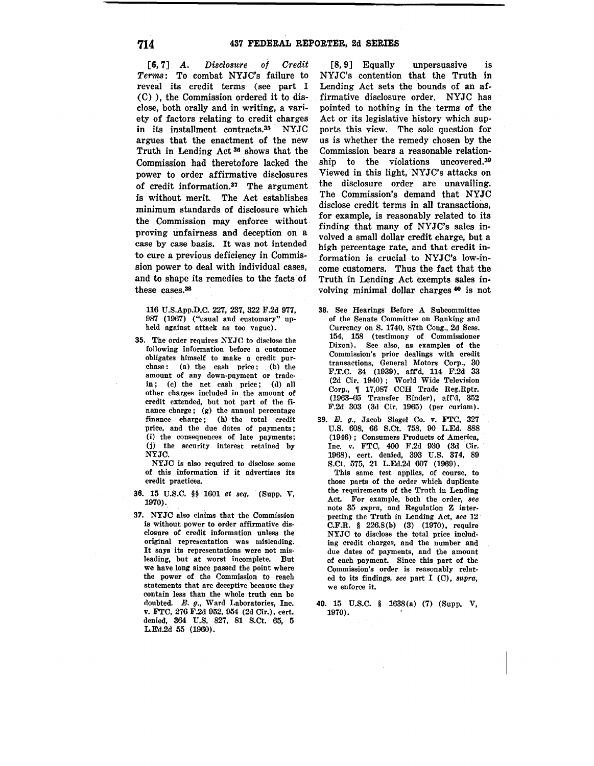[6, 7] *A. Disclosure of Credit Terms:* To combat NYJC's failure to reveal its credit terms (see part I (C) ), the Commission ordered it to disclose, both orally and in writing, a variety of factors relating to credit charges<br>in its installment contracts.<sup>35</sup> NYJC in its installment contracts. $35$ argues that the enactment of the new Truth in Lending Act 36 shows that the Commission had theretofore lacked the power to order affirmative disclosures of credit [information.](https://information.37)37 The argument is without merit. The Act establishes minimum standards of disclosure which the Commission may enforce without proving unfairness and deception on a case by case basis. It was not intended to cure a previous deficiency in Commission power to deal with individual cases, and to shape its remedies to the facts of these cases.<sup>38</sup>

116 U.S.App.D.C. 227, 237, 322 F.2d 977, 987 (1967) ("usual and customary" upheld against attack as too vague).

**35.** The order requires XYJC to disclose the following information before a customer obligates himself to make a credit purchase: (a) the cash price; (b) the amount of any down-payment or tradein; (c) the net cash price; (d) all other charges included in the amount of credit extended, but not part of the finance charge ; (g) the annual percentage finance charge; (h) the total credit price, and the due dates of payments; (i) the consequences of late payments; (j) the security interest retained by NYJC.

NYJC is also required to disclose some of this information if it advertises its credit practices.

- 36. 15 U.S.C. §§ 1601 *et seq.* (Supp. V, 1970).
- **37.** NYJC also claims that the Commission is without power to order affirmative disclosure of credit information unless the original representation was misleading. It says its representations were not misleading, but at worst incomplete. But we have long since passed the point where the power of the Commission to reach statements that are deceptive because they contain less than the whole truth can be doubted. E. g., Ward Laboratories, Inc. v. FTC, 276 F.2d 952, 954 (2d Cir.), cert. denied, 364 U.S. 827, 81 S.Ct. 65, 5 L.Ed.2d 55 (1960).

[8.9] Equally unpersuasive is NYJC's contention that the Truth in Lending Act sets the bounds of an affirmative disclosure order. NYJC has pointed to nothing in the terms of the Act or its legislative history which supports this view. The sole question for us is whether the remedy chosen by the Commission bears a reasonable relationship to the violations [uncovered.39](https://uncovered.39) Viewed in this light, NYJC's attacks on the disclosure order are unavailing. The Commission's demand that NYJC disclose credit terms in all transactions, for example, is reasonably related to its finding that many of NYJC's sales involved a small dollar credit charge, but a high percentage rate, and that credit information is crucial to NYJC's low-income customers. Thus the fact that the Truth in Lending Act exempts sales involving minimal dollar charges 40 is not

- **38.** See Hearings Before A Subcommittee of the Senate Committee on Banking and Currency on S. 1740, 87th Cong., 2d Sess. 154, 158 (testimony of Commissioner Dixon). See also, as examples of the Commission's prior dealings with credit transactions, General Motors Corp., 30 F.T.C. 34 (1939), aff'd, 114 F.2d 23 (2d Cir. 1940) ; World Wide Television Corp.,  $\parallel$  17,087 CCH Trade Reg.Rptr. (1963-65 Transfer Binder), aff'd, 352 F.2d 303 (3d Cir. 1965) (per curiam).
- **39.** E. g., Jacob Siegel Co. v. FTC, 327 U.S. 608, 66 S.Ct. 758, 90 L.Ed. 888 (1946) ; Consumers Products of America, Inc. v. FTC, 400 F.2d 930 (3d Cir. 1968), cert. denied, 393 U.S. 374, 89 S.Ct. 575, 21 L.Ed.2d 607 (1969).

This same test applies, of course, to those parts of the order which duplicate the requirements of the Truth in Lending Act. For example, both the order, *see*  note 35 *supra,* and Regulation Z interpreting the Truth in Lending Act, *see* 12 C.F.R. § 226.8(b) (3) (1970), require NYJC to disclose the total price including credit charges, and the number and due dates of payments, and the amount of each payment. Since this part of the Commission's order is reasonably related to its findings, *see* part I (C), *supra,*  we enforce it.

**40.** 15 U.S.C. § 1638(a) **(7)** (Supp. V, 1970).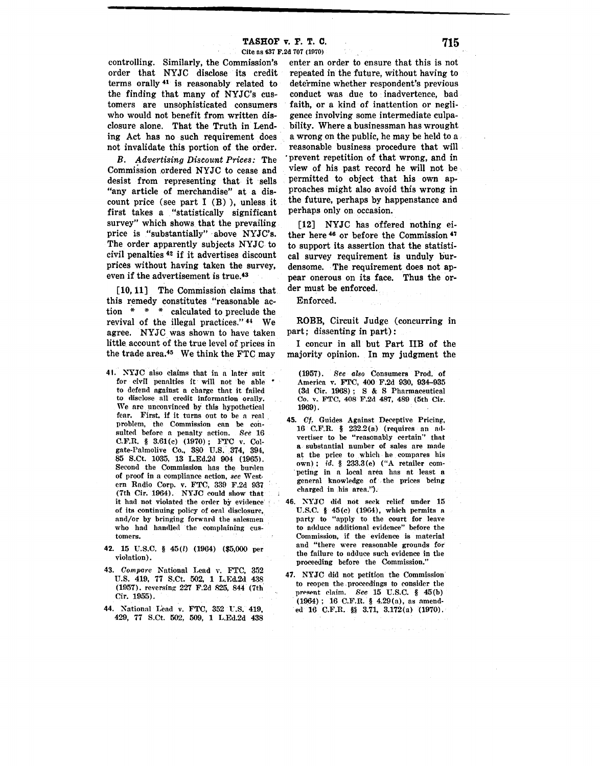·--------------------

controlling. Similarly, the Commission's order that NYJC disclose its credit terms orally 41 is reasonably related to the finding that many of NYJC's customers are unsophisticated consumers who would not benefit from written disclosure alone. That the Truth in Lending Act has no such requirement does not invalidate this portion of the order.

*B. Advertising Discount Prices:* The Commission ordered NYJC to cease and desist from representing that it sells "any article of merchandise" at a discount price (see part I (B) ), unless it first takes a "statistically significant survey" which shows. that the prevailing price is "substantially" above NYJC's. The order apparently subjects NYJC to civil penalties 42 if it advertises discount prices without having taken the survey, even if the advertisement is true.<sup>43</sup>

[10, 11] The Commission claims that this remedy constitutes "reasonable action  $* * *$  calculated to preclude the revival of the illegal practices." 44 We agree. NYJC was shown to have taken little account of the true level of prices in the trade area.45 We think the FTC may

- 41. XYJC also claims that in n Inter suit for civil penalties it will not be able to defend against a charge thnt it fniled to disclose all credit information orally, We are unconvinced by this hypothetical fear. First, if it turns out to be a real problem, the Commission ean be consulted before n penalty action. *See* 16 C.F.R. § 3.61(c) (1970); FTC v. Colgate-Palmolive Co., 380 U.S. 374, 394, 85 S.Ct. 1035, 13 L.Ed.2d 904 (1965). Second the Commission has the burden of proof in a compliance action, *see* Western Radio Corp. v. FTC, 339 F.2d 937 (7th Cir. 1964). NYJC could show that it had not violated the order by evidence· of its continuing policy of oral disclosure, and/or by bringing forward the salesmen who had handled the complaining customers.
- 42. 15 U.S.C. § 45(l) (1964) (\$5,000 per violation).
- 43. *Compare* National Lend v. FTC, 352 U.S. 419, 77 S.Ct. 502, 1 L.Ed.2d. 438 (Ul57). reversing 227 F.2d 825, 844 (7th Cir. 1955).
- 44. National Lead v. FTC, 352 U.S. 419, 429, 77 S.Ct. 502, 509, 1 L.Ed.2d 438

enter an order to ensure that this is not repeated in the future, without having to determine whether respondent's previous conduct was due to inadvertence, bad faith, or a kind of inattention or negligence involving some intermediate culpability. Where a businessman has wrought a wrong on the public, he may be held to a reasonable business procedure that will 'prevent repetition of that wrong, and in view of his past record he will not be permitted to object that his own approaches might also avoid this wrong in the future, perhaps by happenstance and perhaps only on occasion.

**[12]** NYJC has offered nothing either here 46 or before the Commission 47 to support its assertion that the statistical survey requirement is unduly burdensome. The requirement does not appear onerous on its face. Thus the order must be enforced.

Enforced.

ROBB, Circuit Judge (concurring in part; dissenting in part):

I concur in all but Part IIB of the majority opinion. In my judgment the

(1957). *See also* Consumers Prod. of America v. FTC, 400 F.2d 930, 934-935 (3d Cir. 1968) ; S & S Pharmaceutical Co. v. FTC, 408 F.2d 487, 489 (5th Cir. 1969).

- **45.** Cf, Guides Against Deceptive Pricing, 16 C.F.R. § 232.2(a) (requires an mlvertiser to be "reasonably certain" that **a** substantial number of sales are made at the price to which he compares his own) ; id. § 233.3(e) ("A retailer com- . peting in a local area has at least a general knowledge of the prices being charged in his area.").
- **46.** XYJC did not seek relief under 15 U.S.C. § 45(c) (1964), which permits a party to "npply to the court for leave to adduce additional evidence" before the Commission, if the evidence is material and "there were reasonahle grounds for the failure to adduce such evidence in the proceeding before the Commission."
- **47.** NYJC did not petition the Commission to reopen the . proceedings to consider the present claim. *See* 15 U.S.C. § 45(b) (1964) ; 16 C.F.R. § 4.29(a), as amended 16 C.F.R. §§ 3.71, 3.172(a) (1970).